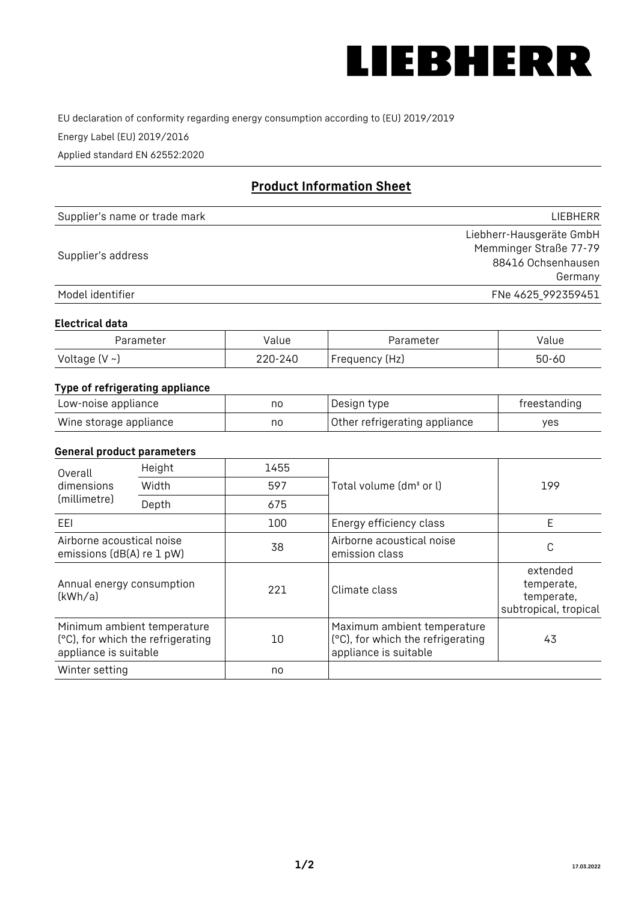

EU declaration of conformity regarding energy consumption according to (EU) 2019/2019

Energy Label (EU) 2019/2016

Applied standard EN 62552:2020

# **Product Information Sheet**

| Supplier's name or trade mark | <b>LIFBHFRR</b>          |
|-------------------------------|--------------------------|
|                               | Liebherr-Hausgeräte GmbH |
| Supplier's address            | Memminger Straße 77-79   |
|                               | 88416 Ochsenhausen       |
|                               | Germany                  |
| Model identifier              | FNe 4625_992359451       |

#### **Electrical data**

| Parameter           | Value   | Parameter      | alue/     |
|---------------------|---------|----------------|-----------|
| Voltage (V $\sim$ ) | 220-240 | Frequency (Hz) | $50 - 60$ |

# **Type of refrigerating appliance**

| Low-noise appliance    | nc | Design type                   | freestanding |
|------------------------|----|-------------------------------|--------------|
| Wine storage appliance | nc | Other refrigerating appliance | ves          |

# **General product parameters**

| Height<br>Overall                                      |                                                                  | 1455 |                                                                                           |                                                               |
|--------------------------------------------------------|------------------------------------------------------------------|------|-------------------------------------------------------------------------------------------|---------------------------------------------------------------|
| dimensions<br>(millimetre)                             | Width                                                            | 597  | Total volume (dm <sup>3</sup> or l)                                                       | 199                                                           |
|                                                        | Depth                                                            | 675  |                                                                                           |                                                               |
| EEL                                                    |                                                                  | 100  | Energy efficiency class                                                                   | E                                                             |
| Airborne acoustical noise<br>emissions (dB(A) re 1 pW) |                                                                  | 38   | Airborne acoustical noise<br>emission class                                               | C                                                             |
| Annual energy consumption<br>(kWh/a)                   |                                                                  | 221  | Climate class                                                                             | extended<br>temperate,<br>temperate,<br>subtropical, tropical |
| appliance is suitable                                  | Minimum ambient temperature<br>(°C), for which the refrigerating | 10   | Maximum ambient temperature<br>(°C), for which the refrigerating<br>appliance is suitable | 43                                                            |
| Winter setting                                         |                                                                  | no   |                                                                                           |                                                               |